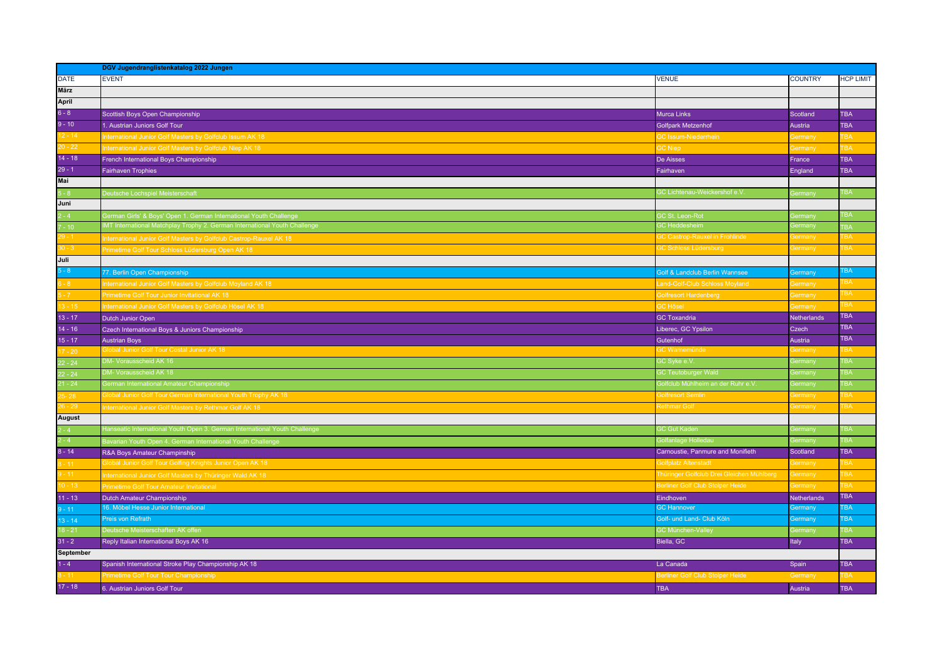| <b>EVENT</b><br><b>VENUE</b><br><b>COUNTRY</b><br><b>HCP LIMIT</b><br><b>März</b><br><b>April</b><br>6 - 8<br>Scottish Boys Open Championship<br><b>Murca Links</b><br><b>TBA</b><br>Scotland<br>$9 - 10$<br>$12 - 14$<br>$20 - 22$<br>1. Austrian Juniors Golf Tour<br><b>TBA</b><br><b>Golfpark Metzenhof</b><br>Austria<br><b>hternational Junior Golf Masters by Golfclub Issum AK 18</b><br><b>3C Issum-Niederrhein</b><br><b>TBA</b><br>∋ermany<br>ternational Junior Golf Masters by Golfclub Niep AK 18<br><b>TBA</b><br><b>C</b> Niep<br>iermany<br>$\frac{14 - 18}{29 - 1}$<br>French International Boys Championship<br><b>De Aisses</b><br><b>TBA</b><br>France<br><b>TBA</b><br><b>Fairhaven Trophies</b><br>England<br>Fairhaven<br>Mai<br>5 - 8<br>Juni<br>GC Lichtenau-Weickershof e.V.<br>TBA<br>eutsche Lochspiel Meisterschaft<br>Germany<br>$2 - 4$<br>$7 - 10$<br>$29 - 1$<br><b>TBA</b><br>ierman Girls' & Boys' Open 1. German International Youth Challenge<br>C St. Leon-Rot<br>ermany<br>MT International Matchplay Trophy 2. German International Youth Challenge<br><b>SC Heddesheim</b><br>Germany<br><b>BA</b><br><b>TBA</b><br><b>C Castrop-Rauxel in Frohlinde</b><br><b>Germany</b><br>18 nternational Junior Golf Masters by Golfclub Castrop-Rauxel AK<br>$30 - 3$<br><b>3C Schloss Lüdersburg</b><br>TBA<br>Germany<br>rimetime Golf Tour Schloss Lüdersburg Open AK 18<br>Juli<br>TBA<br>77. Berlin Open Championship<br><b>Golf &amp; Landclub Berlin Wannsee</b><br>Germany<br><b>TBA</b><br>$6 - 8$<br>$5 - 7$<br>$13 - 15$<br>$13 - 17$<br>$14 - 16$<br>$15 - 17$<br>$17 - 20$<br>11 nternational Junior Golf Masters by Golfclub Moyland AK<br>and-Golf-Club Schloss Moyland<br><b>Germany</b><br>TBA<br>Primetime Golf Tour Junior Invitational AK 18<br>Solfresort Hardenberg<br><b>Sermany</b><br><b>TBA</b><br>nternational Junior Golf Masters by Golfclub Hösel AK 18<br><b>C</b> Hösel<br><b>Bermany</b><br><b>TBA</b><br><b>GC Toxandria</b><br><b>Netherlands</b><br>Dutch Junior Open<br><b>TBA</b><br>Liberec, GC Ypsilon<br>Czech<br>Czech International Boys & Juniors Championship<br><b>TBA</b><br>Gutenhof<br>Austria<br><b>Austrian Boys</b><br><b>Slobal Junior Golf Tour Costal Junior AK 18</b><br>3C Warnemünde<br>ГBA<br>3ermany<br>22 - 24<br>22 - 24<br>21 - 24<br>25 - 28<br>26 - 29<br><b>August</b><br>2 - 4<br>2 - 4<br>8 - 14<br>8 - 11<br>9 - 11<br>DM- Vorausscheid AK 16<br>GC Syke e.V.<br>TBA<br>Germany<br><b>M-Vorausscheid AK 18</b><br><b>SC Teutoburger Wald</b><br><b>TBA</b><br>Germany<br>German International Amateur Championship<br>Golfclub Mühlheim an der Ruhr e.V<br>TBA<br>Germany<br>Iobal Junior Golf Tour German International Youth Trophy AK 18<br>Solfresort Semlin<br><b>Germany</b><br>TBA<br><b>Rethmar Golf</b><br>TBA<br>Iternational Junior Golf Masters by Rethmar Golf AK 18<br>Germany<br>lanseatic International Youth Open 3. German International Youth Challenge<br><mark>iC Gut Kaden</mark><br><b>TBA</b><br>ermany)<br><b>Golfanlage Holledau</b><br><b>TBA</b><br>Germany<br>Bavarian Youth Open 4. German International Youth Challenge<br>Carnoustie, Panmure and Monifieth<br>Scotland<br><b>TBA</b><br>R&A Boys Amateur Champinship<br><b>Slobal Junior Golf Tour Golfing Knights Junior Open AK 18</b><br><b>Solfplatz Altenstadt</b><br>TBA<br><b>Germany</b><br>Fhüringer Golfclub Drei Gleichen Mühlberg<br><b>TBA</b><br><b>Germany</b><br>nternational Junior Golf Masters by Thüringer Wald AK 18<br>Berliner Golf Club Stolper Heide<br><b>TBA</b><br><b>Germany</b><br><b>Investime Golf Tour Amateur Invitational</b><br>11 - 13<br>9 - 11<br><b>TBA</b><br>Dutch Amateur Championship<br>Eindhoven<br><b>Netherlands</b><br>16. Möbel Hesse Junior International<br><b>TBA</b><br><b>GC Hannover</b><br>Germany<br>Preis von Refrath<br>Golf- und Land- Club Köln<br><b>TBA</b><br>Germany<br>Deutsche Meisterschaften AK offen<br><b>GC München-Valle</b><br><b>TBA</b><br>Germany<br>Reply Italian International Boys AK 16<br>Biella, GC<br><b>TBA</b><br>Italy<br>September |             | DGV Jugendranglistenkatalog 2022 Jungen |  |  |  |  |
|-------------------------------------------------------------------------------------------------------------------------------------------------------------------------------------------------------------------------------------------------------------------------------------------------------------------------------------------------------------------------------------------------------------------------------------------------------------------------------------------------------------------------------------------------------------------------------------------------------------------------------------------------------------------------------------------------------------------------------------------------------------------------------------------------------------------------------------------------------------------------------------------------------------------------------------------------------------------------------------------------------------------------------------------------------------------------------------------------------------------------------------------------------------------------------------------------------------------------------------------------------------------------------------------------------------------------------------------------------------------------------------------------------------------------------------------------------------------------------------------------------------------------------------------------------------------------------------------------------------------------------------------------------------------------------------------------------------------------------------------------------------------------------------------------------------------------------------------------------------------------------------------------------------------------------------------------------------------------------------------------------------------------------------------------------------------------------------------------------------------------------------------------------------------------------------------------------------------------------------------------------------------------------------------------------------------------------------------------------------------------------------------------------------------------------------------------------------------------------------------------------------------------------------------------------------------------------------------------------------------------------------------------------------------------------------------------------------------------------------------------------------------------------------------------------------------------------------------------------------------------------------------------------------------------------------------------------------------------------------------------------------------------------------------------------------------------------------------------------------------------------------------------------------------------------------------------------------------------------------------------------------------------------------------------------------------------------------------------------------------------------------------------------------------------------------------------------------------------------------------------------------------------------------------------------------------------------------------------------------------------------------------------------------------------------------------------------------------------------------------------------------------------------------------------------------------------------------------------------------------------------------------------------------------------------------------------------------------------------------------------------------------------------------------------------------------------------------------------------------------|-------------|-----------------------------------------|--|--|--|--|
|                                                                                                                                                                                                                                                                                                                                                                                                                                                                                                                                                                                                                                                                                                                                                                                                                                                                                                                                                                                                                                                                                                                                                                                                                                                                                                                                                                                                                                                                                                                                                                                                                                                                                                                                                                                                                                                                                                                                                                                                                                                                                                                                                                                                                                                                                                                                                                                                                                                                                                                                                                                                                                                                                                                                                                                                                                                                                                                                                                                                                                                                                                                                                                                                                                                                                                                                                                                                                                                                                                                                                                                                                                                                                                                                                                                                                                                                                                                                                                                                                                                                                                                   | <b>DATE</b> |                                         |  |  |  |  |
|                                                                                                                                                                                                                                                                                                                                                                                                                                                                                                                                                                                                                                                                                                                                                                                                                                                                                                                                                                                                                                                                                                                                                                                                                                                                                                                                                                                                                                                                                                                                                                                                                                                                                                                                                                                                                                                                                                                                                                                                                                                                                                                                                                                                                                                                                                                                                                                                                                                                                                                                                                                                                                                                                                                                                                                                                                                                                                                                                                                                                                                                                                                                                                                                                                                                                                                                                                                                                                                                                                                                                                                                                                                                                                                                                                                                                                                                                                                                                                                                                                                                                                                   |             |                                         |  |  |  |  |
|                                                                                                                                                                                                                                                                                                                                                                                                                                                                                                                                                                                                                                                                                                                                                                                                                                                                                                                                                                                                                                                                                                                                                                                                                                                                                                                                                                                                                                                                                                                                                                                                                                                                                                                                                                                                                                                                                                                                                                                                                                                                                                                                                                                                                                                                                                                                                                                                                                                                                                                                                                                                                                                                                                                                                                                                                                                                                                                                                                                                                                                                                                                                                                                                                                                                                                                                                                                                                                                                                                                                                                                                                                                                                                                                                                                                                                                                                                                                                                                                                                                                                                                   |             |                                         |  |  |  |  |
|                                                                                                                                                                                                                                                                                                                                                                                                                                                                                                                                                                                                                                                                                                                                                                                                                                                                                                                                                                                                                                                                                                                                                                                                                                                                                                                                                                                                                                                                                                                                                                                                                                                                                                                                                                                                                                                                                                                                                                                                                                                                                                                                                                                                                                                                                                                                                                                                                                                                                                                                                                                                                                                                                                                                                                                                                                                                                                                                                                                                                                                                                                                                                                                                                                                                                                                                                                                                                                                                                                                                                                                                                                                                                                                                                                                                                                                                                                                                                                                                                                                                                                                   |             |                                         |  |  |  |  |
|                                                                                                                                                                                                                                                                                                                                                                                                                                                                                                                                                                                                                                                                                                                                                                                                                                                                                                                                                                                                                                                                                                                                                                                                                                                                                                                                                                                                                                                                                                                                                                                                                                                                                                                                                                                                                                                                                                                                                                                                                                                                                                                                                                                                                                                                                                                                                                                                                                                                                                                                                                                                                                                                                                                                                                                                                                                                                                                                                                                                                                                                                                                                                                                                                                                                                                                                                                                                                                                                                                                                                                                                                                                                                                                                                                                                                                                                                                                                                                                                                                                                                                                   |             |                                         |  |  |  |  |
|                                                                                                                                                                                                                                                                                                                                                                                                                                                                                                                                                                                                                                                                                                                                                                                                                                                                                                                                                                                                                                                                                                                                                                                                                                                                                                                                                                                                                                                                                                                                                                                                                                                                                                                                                                                                                                                                                                                                                                                                                                                                                                                                                                                                                                                                                                                                                                                                                                                                                                                                                                                                                                                                                                                                                                                                                                                                                                                                                                                                                                                                                                                                                                                                                                                                                                                                                                                                                                                                                                                                                                                                                                                                                                                                                                                                                                                                                                                                                                                                                                                                                                                   |             |                                         |  |  |  |  |
|                                                                                                                                                                                                                                                                                                                                                                                                                                                                                                                                                                                                                                                                                                                                                                                                                                                                                                                                                                                                                                                                                                                                                                                                                                                                                                                                                                                                                                                                                                                                                                                                                                                                                                                                                                                                                                                                                                                                                                                                                                                                                                                                                                                                                                                                                                                                                                                                                                                                                                                                                                                                                                                                                                                                                                                                                                                                                                                                                                                                                                                                                                                                                                                                                                                                                                                                                                                                                                                                                                                                                                                                                                                                                                                                                                                                                                                                                                                                                                                                                                                                                                                   |             |                                         |  |  |  |  |
|                                                                                                                                                                                                                                                                                                                                                                                                                                                                                                                                                                                                                                                                                                                                                                                                                                                                                                                                                                                                                                                                                                                                                                                                                                                                                                                                                                                                                                                                                                                                                                                                                                                                                                                                                                                                                                                                                                                                                                                                                                                                                                                                                                                                                                                                                                                                                                                                                                                                                                                                                                                                                                                                                                                                                                                                                                                                                                                                                                                                                                                                                                                                                                                                                                                                                                                                                                                                                                                                                                                                                                                                                                                                                                                                                                                                                                                                                                                                                                                                                                                                                                                   |             |                                         |  |  |  |  |
|                                                                                                                                                                                                                                                                                                                                                                                                                                                                                                                                                                                                                                                                                                                                                                                                                                                                                                                                                                                                                                                                                                                                                                                                                                                                                                                                                                                                                                                                                                                                                                                                                                                                                                                                                                                                                                                                                                                                                                                                                                                                                                                                                                                                                                                                                                                                                                                                                                                                                                                                                                                                                                                                                                                                                                                                                                                                                                                                                                                                                                                                                                                                                                                                                                                                                                                                                                                                                                                                                                                                                                                                                                                                                                                                                                                                                                                                                                                                                                                                                                                                                                                   |             |                                         |  |  |  |  |
|                                                                                                                                                                                                                                                                                                                                                                                                                                                                                                                                                                                                                                                                                                                                                                                                                                                                                                                                                                                                                                                                                                                                                                                                                                                                                                                                                                                                                                                                                                                                                                                                                                                                                                                                                                                                                                                                                                                                                                                                                                                                                                                                                                                                                                                                                                                                                                                                                                                                                                                                                                                                                                                                                                                                                                                                                                                                                                                                                                                                                                                                                                                                                                                                                                                                                                                                                                                                                                                                                                                                                                                                                                                                                                                                                                                                                                                                                                                                                                                                                                                                                                                   |             |                                         |  |  |  |  |
|                                                                                                                                                                                                                                                                                                                                                                                                                                                                                                                                                                                                                                                                                                                                                                                                                                                                                                                                                                                                                                                                                                                                                                                                                                                                                                                                                                                                                                                                                                                                                                                                                                                                                                                                                                                                                                                                                                                                                                                                                                                                                                                                                                                                                                                                                                                                                                                                                                                                                                                                                                                                                                                                                                                                                                                                                                                                                                                                                                                                                                                                                                                                                                                                                                                                                                                                                                                                                                                                                                                                                                                                                                                                                                                                                                                                                                                                                                                                                                                                                                                                                                                   |             |                                         |  |  |  |  |
|                                                                                                                                                                                                                                                                                                                                                                                                                                                                                                                                                                                                                                                                                                                                                                                                                                                                                                                                                                                                                                                                                                                                                                                                                                                                                                                                                                                                                                                                                                                                                                                                                                                                                                                                                                                                                                                                                                                                                                                                                                                                                                                                                                                                                                                                                                                                                                                                                                                                                                                                                                                                                                                                                                                                                                                                                                                                                                                                                                                                                                                                                                                                                                                                                                                                                                                                                                                                                                                                                                                                                                                                                                                                                                                                                                                                                                                                                                                                                                                                                                                                                                                   |             |                                         |  |  |  |  |
|                                                                                                                                                                                                                                                                                                                                                                                                                                                                                                                                                                                                                                                                                                                                                                                                                                                                                                                                                                                                                                                                                                                                                                                                                                                                                                                                                                                                                                                                                                                                                                                                                                                                                                                                                                                                                                                                                                                                                                                                                                                                                                                                                                                                                                                                                                                                                                                                                                                                                                                                                                                                                                                                                                                                                                                                                                                                                                                                                                                                                                                                                                                                                                                                                                                                                                                                                                                                                                                                                                                                                                                                                                                                                                                                                                                                                                                                                                                                                                                                                                                                                                                   |             |                                         |  |  |  |  |
|                                                                                                                                                                                                                                                                                                                                                                                                                                                                                                                                                                                                                                                                                                                                                                                                                                                                                                                                                                                                                                                                                                                                                                                                                                                                                                                                                                                                                                                                                                                                                                                                                                                                                                                                                                                                                                                                                                                                                                                                                                                                                                                                                                                                                                                                                                                                                                                                                                                                                                                                                                                                                                                                                                                                                                                                                                                                                                                                                                                                                                                                                                                                                                                                                                                                                                                                                                                                                                                                                                                                                                                                                                                                                                                                                                                                                                                                                                                                                                                                                                                                                                                   |             |                                         |  |  |  |  |
|                                                                                                                                                                                                                                                                                                                                                                                                                                                                                                                                                                                                                                                                                                                                                                                                                                                                                                                                                                                                                                                                                                                                                                                                                                                                                                                                                                                                                                                                                                                                                                                                                                                                                                                                                                                                                                                                                                                                                                                                                                                                                                                                                                                                                                                                                                                                                                                                                                                                                                                                                                                                                                                                                                                                                                                                                                                                                                                                                                                                                                                                                                                                                                                                                                                                                                                                                                                                                                                                                                                                                                                                                                                                                                                                                                                                                                                                                                                                                                                                                                                                                                                   |             |                                         |  |  |  |  |
|                                                                                                                                                                                                                                                                                                                                                                                                                                                                                                                                                                                                                                                                                                                                                                                                                                                                                                                                                                                                                                                                                                                                                                                                                                                                                                                                                                                                                                                                                                                                                                                                                                                                                                                                                                                                                                                                                                                                                                                                                                                                                                                                                                                                                                                                                                                                                                                                                                                                                                                                                                                                                                                                                                                                                                                                                                                                                                                                                                                                                                                                                                                                                                                                                                                                                                                                                                                                                                                                                                                                                                                                                                                                                                                                                                                                                                                                                                                                                                                                                                                                                                                   |             |                                         |  |  |  |  |
|                                                                                                                                                                                                                                                                                                                                                                                                                                                                                                                                                                                                                                                                                                                                                                                                                                                                                                                                                                                                                                                                                                                                                                                                                                                                                                                                                                                                                                                                                                                                                                                                                                                                                                                                                                                                                                                                                                                                                                                                                                                                                                                                                                                                                                                                                                                                                                                                                                                                                                                                                                                                                                                                                                                                                                                                                                                                                                                                                                                                                                                                                                                                                                                                                                                                                                                                                                                                                                                                                                                                                                                                                                                                                                                                                                                                                                                                                                                                                                                                                                                                                                                   |             |                                         |  |  |  |  |
|                                                                                                                                                                                                                                                                                                                                                                                                                                                                                                                                                                                                                                                                                                                                                                                                                                                                                                                                                                                                                                                                                                                                                                                                                                                                                                                                                                                                                                                                                                                                                                                                                                                                                                                                                                                                                                                                                                                                                                                                                                                                                                                                                                                                                                                                                                                                                                                                                                                                                                                                                                                                                                                                                                                                                                                                                                                                                                                                                                                                                                                                                                                                                                                                                                                                                                                                                                                                                                                                                                                                                                                                                                                                                                                                                                                                                                                                                                                                                                                                                                                                                                                   | $5 - 8$     |                                         |  |  |  |  |
|                                                                                                                                                                                                                                                                                                                                                                                                                                                                                                                                                                                                                                                                                                                                                                                                                                                                                                                                                                                                                                                                                                                                                                                                                                                                                                                                                                                                                                                                                                                                                                                                                                                                                                                                                                                                                                                                                                                                                                                                                                                                                                                                                                                                                                                                                                                                                                                                                                                                                                                                                                                                                                                                                                                                                                                                                                                                                                                                                                                                                                                                                                                                                                                                                                                                                                                                                                                                                                                                                                                                                                                                                                                                                                                                                                                                                                                                                                                                                                                                                                                                                                                   |             |                                         |  |  |  |  |
|                                                                                                                                                                                                                                                                                                                                                                                                                                                                                                                                                                                                                                                                                                                                                                                                                                                                                                                                                                                                                                                                                                                                                                                                                                                                                                                                                                                                                                                                                                                                                                                                                                                                                                                                                                                                                                                                                                                                                                                                                                                                                                                                                                                                                                                                                                                                                                                                                                                                                                                                                                                                                                                                                                                                                                                                                                                                                                                                                                                                                                                                                                                                                                                                                                                                                                                                                                                                                                                                                                                                                                                                                                                                                                                                                                                                                                                                                                                                                                                                                                                                                                                   |             |                                         |  |  |  |  |
|                                                                                                                                                                                                                                                                                                                                                                                                                                                                                                                                                                                                                                                                                                                                                                                                                                                                                                                                                                                                                                                                                                                                                                                                                                                                                                                                                                                                                                                                                                                                                                                                                                                                                                                                                                                                                                                                                                                                                                                                                                                                                                                                                                                                                                                                                                                                                                                                                                                                                                                                                                                                                                                                                                                                                                                                                                                                                                                                                                                                                                                                                                                                                                                                                                                                                                                                                                                                                                                                                                                                                                                                                                                                                                                                                                                                                                                                                                                                                                                                                                                                                                                   |             |                                         |  |  |  |  |
|                                                                                                                                                                                                                                                                                                                                                                                                                                                                                                                                                                                                                                                                                                                                                                                                                                                                                                                                                                                                                                                                                                                                                                                                                                                                                                                                                                                                                                                                                                                                                                                                                                                                                                                                                                                                                                                                                                                                                                                                                                                                                                                                                                                                                                                                                                                                                                                                                                                                                                                                                                                                                                                                                                                                                                                                                                                                                                                                                                                                                                                                                                                                                                                                                                                                                                                                                                                                                                                                                                                                                                                                                                                                                                                                                                                                                                                                                                                                                                                                                                                                                                                   |             |                                         |  |  |  |  |
|                                                                                                                                                                                                                                                                                                                                                                                                                                                                                                                                                                                                                                                                                                                                                                                                                                                                                                                                                                                                                                                                                                                                                                                                                                                                                                                                                                                                                                                                                                                                                                                                                                                                                                                                                                                                                                                                                                                                                                                                                                                                                                                                                                                                                                                                                                                                                                                                                                                                                                                                                                                                                                                                                                                                                                                                                                                                                                                                                                                                                                                                                                                                                                                                                                                                                                                                                                                                                                                                                                                                                                                                                                                                                                                                                                                                                                                                                                                                                                                                                                                                                                                   |             |                                         |  |  |  |  |
|                                                                                                                                                                                                                                                                                                                                                                                                                                                                                                                                                                                                                                                                                                                                                                                                                                                                                                                                                                                                                                                                                                                                                                                                                                                                                                                                                                                                                                                                                                                                                                                                                                                                                                                                                                                                                                                                                                                                                                                                                                                                                                                                                                                                                                                                                                                                                                                                                                                                                                                                                                                                                                                                                                                                                                                                                                                                                                                                                                                                                                                                                                                                                                                                                                                                                                                                                                                                                                                                                                                                                                                                                                                                                                                                                                                                                                                                                                                                                                                                                                                                                                                   |             |                                         |  |  |  |  |
|                                                                                                                                                                                                                                                                                                                                                                                                                                                                                                                                                                                                                                                                                                                                                                                                                                                                                                                                                                                                                                                                                                                                                                                                                                                                                                                                                                                                                                                                                                                                                                                                                                                                                                                                                                                                                                                                                                                                                                                                                                                                                                                                                                                                                                                                                                                                                                                                                                                                                                                                                                                                                                                                                                                                                                                                                                                                                                                                                                                                                                                                                                                                                                                                                                                                                                                                                                                                                                                                                                                                                                                                                                                                                                                                                                                                                                                                                                                                                                                                                                                                                                                   |             |                                         |  |  |  |  |
|                                                                                                                                                                                                                                                                                                                                                                                                                                                                                                                                                                                                                                                                                                                                                                                                                                                                                                                                                                                                                                                                                                                                                                                                                                                                                                                                                                                                                                                                                                                                                                                                                                                                                                                                                                                                                                                                                                                                                                                                                                                                                                                                                                                                                                                                                                                                                                                                                                                                                                                                                                                                                                                                                                                                                                                                                                                                                                                                                                                                                                                                                                                                                                                                                                                                                                                                                                                                                                                                                                                                                                                                                                                                                                                                                                                                                                                                                                                                                                                                                                                                                                                   |             |                                         |  |  |  |  |
|                                                                                                                                                                                                                                                                                                                                                                                                                                                                                                                                                                                                                                                                                                                                                                                                                                                                                                                                                                                                                                                                                                                                                                                                                                                                                                                                                                                                                                                                                                                                                                                                                                                                                                                                                                                                                                                                                                                                                                                                                                                                                                                                                                                                                                                                                                                                                                                                                                                                                                                                                                                                                                                                                                                                                                                                                                                                                                                                                                                                                                                                                                                                                                                                                                                                                                                                                                                                                                                                                                                                                                                                                                                                                                                                                                                                                                                                                                                                                                                                                                                                                                                   |             |                                         |  |  |  |  |
|                                                                                                                                                                                                                                                                                                                                                                                                                                                                                                                                                                                                                                                                                                                                                                                                                                                                                                                                                                                                                                                                                                                                                                                                                                                                                                                                                                                                                                                                                                                                                                                                                                                                                                                                                                                                                                                                                                                                                                                                                                                                                                                                                                                                                                                                                                                                                                                                                                                                                                                                                                                                                                                                                                                                                                                                                                                                                                                                                                                                                                                                                                                                                                                                                                                                                                                                                                                                                                                                                                                                                                                                                                                                                                                                                                                                                                                                                                                                                                                                                                                                                                                   |             |                                         |  |  |  |  |
|                                                                                                                                                                                                                                                                                                                                                                                                                                                                                                                                                                                                                                                                                                                                                                                                                                                                                                                                                                                                                                                                                                                                                                                                                                                                                                                                                                                                                                                                                                                                                                                                                                                                                                                                                                                                                                                                                                                                                                                                                                                                                                                                                                                                                                                                                                                                                                                                                                                                                                                                                                                                                                                                                                                                                                                                                                                                                                                                                                                                                                                                                                                                                                                                                                                                                                                                                                                                                                                                                                                                                                                                                                                                                                                                                                                                                                                                                                                                                                                                                                                                                                                   |             |                                         |  |  |  |  |
|                                                                                                                                                                                                                                                                                                                                                                                                                                                                                                                                                                                                                                                                                                                                                                                                                                                                                                                                                                                                                                                                                                                                                                                                                                                                                                                                                                                                                                                                                                                                                                                                                                                                                                                                                                                                                                                                                                                                                                                                                                                                                                                                                                                                                                                                                                                                                                                                                                                                                                                                                                                                                                                                                                                                                                                                                                                                                                                                                                                                                                                                                                                                                                                                                                                                                                                                                                                                                                                                                                                                                                                                                                                                                                                                                                                                                                                                                                                                                                                                                                                                                                                   |             |                                         |  |  |  |  |
|                                                                                                                                                                                                                                                                                                                                                                                                                                                                                                                                                                                                                                                                                                                                                                                                                                                                                                                                                                                                                                                                                                                                                                                                                                                                                                                                                                                                                                                                                                                                                                                                                                                                                                                                                                                                                                                                                                                                                                                                                                                                                                                                                                                                                                                                                                                                                                                                                                                                                                                                                                                                                                                                                                                                                                                                                                                                                                                                                                                                                                                                                                                                                                                                                                                                                                                                                                                                                                                                                                                                                                                                                                                                                                                                                                                                                                                                                                                                                                                                                                                                                                                   |             |                                         |  |  |  |  |
|                                                                                                                                                                                                                                                                                                                                                                                                                                                                                                                                                                                                                                                                                                                                                                                                                                                                                                                                                                                                                                                                                                                                                                                                                                                                                                                                                                                                                                                                                                                                                                                                                                                                                                                                                                                                                                                                                                                                                                                                                                                                                                                                                                                                                                                                                                                                                                                                                                                                                                                                                                                                                                                                                                                                                                                                                                                                                                                                                                                                                                                                                                                                                                                                                                                                                                                                                                                                                                                                                                                                                                                                                                                                                                                                                                                                                                                                                                                                                                                                                                                                                                                   |             |                                         |  |  |  |  |
|                                                                                                                                                                                                                                                                                                                                                                                                                                                                                                                                                                                                                                                                                                                                                                                                                                                                                                                                                                                                                                                                                                                                                                                                                                                                                                                                                                                                                                                                                                                                                                                                                                                                                                                                                                                                                                                                                                                                                                                                                                                                                                                                                                                                                                                                                                                                                                                                                                                                                                                                                                                                                                                                                                                                                                                                                                                                                                                                                                                                                                                                                                                                                                                                                                                                                                                                                                                                                                                                                                                                                                                                                                                                                                                                                                                                                                                                                                                                                                                                                                                                                                                   |             |                                         |  |  |  |  |
|                                                                                                                                                                                                                                                                                                                                                                                                                                                                                                                                                                                                                                                                                                                                                                                                                                                                                                                                                                                                                                                                                                                                                                                                                                                                                                                                                                                                                                                                                                                                                                                                                                                                                                                                                                                                                                                                                                                                                                                                                                                                                                                                                                                                                                                                                                                                                                                                                                                                                                                                                                                                                                                                                                                                                                                                                                                                                                                                                                                                                                                                                                                                                                                                                                                                                                                                                                                                                                                                                                                                                                                                                                                                                                                                                                                                                                                                                                                                                                                                                                                                                                                   |             |                                         |  |  |  |  |
|                                                                                                                                                                                                                                                                                                                                                                                                                                                                                                                                                                                                                                                                                                                                                                                                                                                                                                                                                                                                                                                                                                                                                                                                                                                                                                                                                                                                                                                                                                                                                                                                                                                                                                                                                                                                                                                                                                                                                                                                                                                                                                                                                                                                                                                                                                                                                                                                                                                                                                                                                                                                                                                                                                                                                                                                                                                                                                                                                                                                                                                                                                                                                                                                                                                                                                                                                                                                                                                                                                                                                                                                                                                                                                                                                                                                                                                                                                                                                                                                                                                                                                                   |             |                                         |  |  |  |  |
|                                                                                                                                                                                                                                                                                                                                                                                                                                                                                                                                                                                                                                                                                                                                                                                                                                                                                                                                                                                                                                                                                                                                                                                                                                                                                                                                                                                                                                                                                                                                                                                                                                                                                                                                                                                                                                                                                                                                                                                                                                                                                                                                                                                                                                                                                                                                                                                                                                                                                                                                                                                                                                                                                                                                                                                                                                                                                                                                                                                                                                                                                                                                                                                                                                                                                                                                                                                                                                                                                                                                                                                                                                                                                                                                                                                                                                                                                                                                                                                                                                                                                                                   |             |                                         |  |  |  |  |
|                                                                                                                                                                                                                                                                                                                                                                                                                                                                                                                                                                                                                                                                                                                                                                                                                                                                                                                                                                                                                                                                                                                                                                                                                                                                                                                                                                                                                                                                                                                                                                                                                                                                                                                                                                                                                                                                                                                                                                                                                                                                                                                                                                                                                                                                                                                                                                                                                                                                                                                                                                                                                                                                                                                                                                                                                                                                                                                                                                                                                                                                                                                                                                                                                                                                                                                                                                                                                                                                                                                                                                                                                                                                                                                                                                                                                                                                                                                                                                                                                                                                                                                   |             |                                         |  |  |  |  |
|                                                                                                                                                                                                                                                                                                                                                                                                                                                                                                                                                                                                                                                                                                                                                                                                                                                                                                                                                                                                                                                                                                                                                                                                                                                                                                                                                                                                                                                                                                                                                                                                                                                                                                                                                                                                                                                                                                                                                                                                                                                                                                                                                                                                                                                                                                                                                                                                                                                                                                                                                                                                                                                                                                                                                                                                                                                                                                                                                                                                                                                                                                                                                                                                                                                                                                                                                                                                                                                                                                                                                                                                                                                                                                                                                                                                                                                                                                                                                                                                                                                                                                                   |             |                                         |  |  |  |  |
|                                                                                                                                                                                                                                                                                                                                                                                                                                                                                                                                                                                                                                                                                                                                                                                                                                                                                                                                                                                                                                                                                                                                                                                                                                                                                                                                                                                                                                                                                                                                                                                                                                                                                                                                                                                                                                                                                                                                                                                                                                                                                                                                                                                                                                                                                                                                                                                                                                                                                                                                                                                                                                                                                                                                                                                                                                                                                                                                                                                                                                                                                                                                                                                                                                                                                                                                                                                                                                                                                                                                                                                                                                                                                                                                                                                                                                                                                                                                                                                                                                                                                                                   |             |                                         |  |  |  |  |
|                                                                                                                                                                                                                                                                                                                                                                                                                                                                                                                                                                                                                                                                                                                                                                                                                                                                                                                                                                                                                                                                                                                                                                                                                                                                                                                                                                                                                                                                                                                                                                                                                                                                                                                                                                                                                                                                                                                                                                                                                                                                                                                                                                                                                                                                                                                                                                                                                                                                                                                                                                                                                                                                                                                                                                                                                                                                                                                                                                                                                                                                                                                                                                                                                                                                                                                                                                                                                                                                                                                                                                                                                                                                                                                                                                                                                                                                                                                                                                                                                                                                                                                   | $13 - 14$   |                                         |  |  |  |  |
|                                                                                                                                                                                                                                                                                                                                                                                                                                                                                                                                                                                                                                                                                                                                                                                                                                                                                                                                                                                                                                                                                                                                                                                                                                                                                                                                                                                                                                                                                                                                                                                                                                                                                                                                                                                                                                                                                                                                                                                                                                                                                                                                                                                                                                                                                                                                                                                                                                                                                                                                                                                                                                                                                                                                                                                                                                                                                                                                                                                                                                                                                                                                                                                                                                                                                                                                                                                                                                                                                                                                                                                                                                                                                                                                                                                                                                                                                                                                                                                                                                                                                                                   | $18 - 21$   |                                         |  |  |  |  |
|                                                                                                                                                                                                                                                                                                                                                                                                                                                                                                                                                                                                                                                                                                                                                                                                                                                                                                                                                                                                                                                                                                                                                                                                                                                                                                                                                                                                                                                                                                                                                                                                                                                                                                                                                                                                                                                                                                                                                                                                                                                                                                                                                                                                                                                                                                                                                                                                                                                                                                                                                                                                                                                                                                                                                                                                                                                                                                                                                                                                                                                                                                                                                                                                                                                                                                                                                                                                                                                                                                                                                                                                                                                                                                                                                                                                                                                                                                                                                                                                                                                                                                                   | $31 - 2$    |                                         |  |  |  |  |
|                                                                                                                                                                                                                                                                                                                                                                                                                                                                                                                                                                                                                                                                                                                                                                                                                                                                                                                                                                                                                                                                                                                                                                                                                                                                                                                                                                                                                                                                                                                                                                                                                                                                                                                                                                                                                                                                                                                                                                                                                                                                                                                                                                                                                                                                                                                                                                                                                                                                                                                                                                                                                                                                                                                                                                                                                                                                                                                                                                                                                                                                                                                                                                                                                                                                                                                                                                                                                                                                                                                                                                                                                                                                                                                                                                                                                                                                                                                                                                                                                                                                                                                   |             |                                         |  |  |  |  |
| Spanish International Stroke Play Championship AK 18<br>Spain<br><b>TBA</b><br>La Canada                                                                                                                                                                                                                                                                                                                                                                                                                                                                                                                                                                                                                                                                                                                                                                                                                                                                                                                                                                                                                                                                                                                                                                                                                                                                                                                                                                                                                                                                                                                                                                                                                                                                                                                                                                                                                                                                                                                                                                                                                                                                                                                                                                                                                                                                                                                                                                                                                                                                                                                                                                                                                                                                                                                                                                                                                                                                                                                                                                                                                                                                                                                                                                                                                                                                                                                                                                                                                                                                                                                                                                                                                                                                                                                                                                                                                                                                                                                                                                                                                          | $1 - 4$     |                                         |  |  |  |  |
| Primetime Golf Tour Tour Championship<br>$-11$<br><b>Berliner Golf Club Stolper Heide</b><br>Germany<br>TBA                                                                                                                                                                                                                                                                                                                                                                                                                                                                                                                                                                                                                                                                                                                                                                                                                                                                                                                                                                                                                                                                                                                                                                                                                                                                                                                                                                                                                                                                                                                                                                                                                                                                                                                                                                                                                                                                                                                                                                                                                                                                                                                                                                                                                                                                                                                                                                                                                                                                                                                                                                                                                                                                                                                                                                                                                                                                                                                                                                                                                                                                                                                                                                                                                                                                                                                                                                                                                                                                                                                                                                                                                                                                                                                                                                                                                                                                                                                                                                                                       |             |                                         |  |  |  |  |
| <b>TBA</b><br><b>TBA</b><br>6. Austrian Juniors Golf Tour<br>Austria                                                                                                                                                                                                                                                                                                                                                                                                                                                                                                                                                                                                                                                                                                                                                                                                                                                                                                                                                                                                                                                                                                                                                                                                                                                                                                                                                                                                                                                                                                                                                                                                                                                                                                                                                                                                                                                                                                                                                                                                                                                                                                                                                                                                                                                                                                                                                                                                                                                                                                                                                                                                                                                                                                                                                                                                                                                                                                                                                                                                                                                                                                                                                                                                                                                                                                                                                                                                                                                                                                                                                                                                                                                                                                                                                                                                                                                                                                                                                                                                                                              | $17 - 18$   |                                         |  |  |  |  |